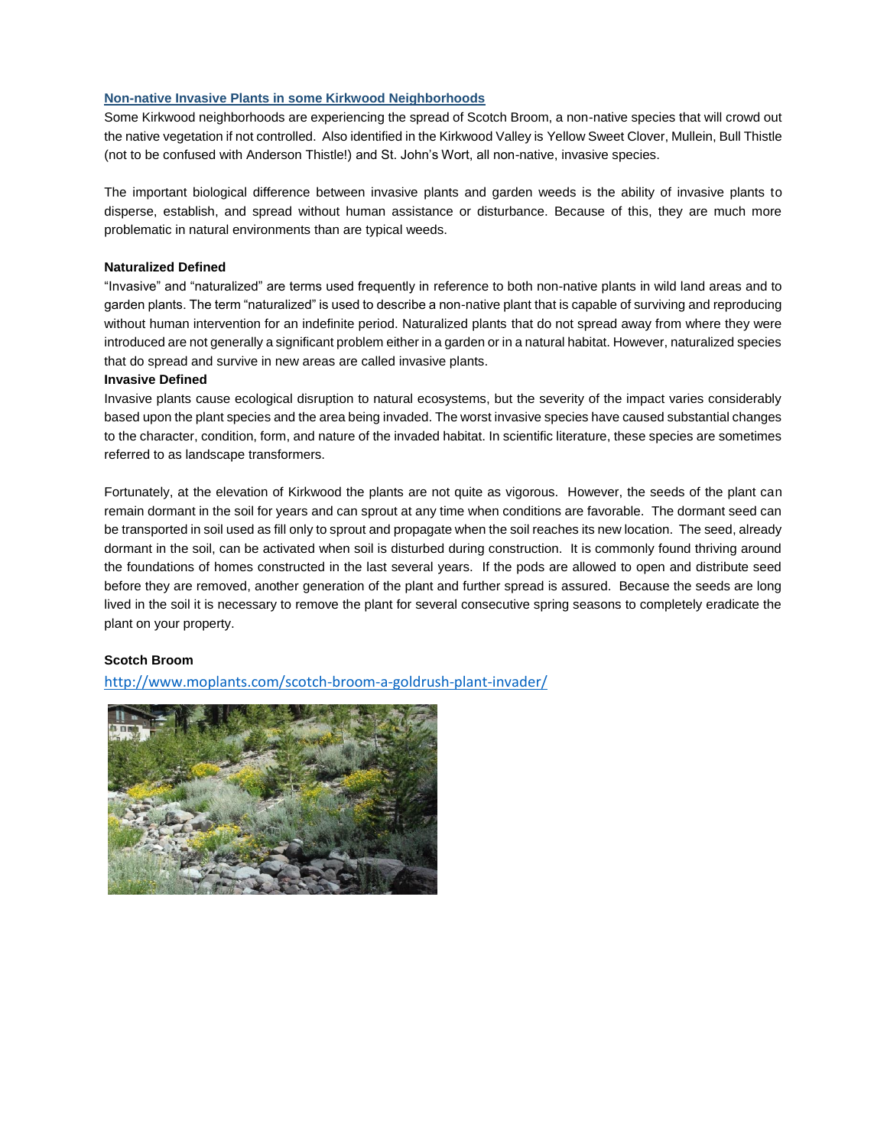### **Non-native Invasive Plants in some Kirkwood Neighborhoods**

Some Kirkwood neighborhoods are experiencing the spread of Scotch Broom, a non-native species that will crowd out the native vegetation if not controlled. Also identified in the Kirkwood Valley is Yellow Sweet Clover, Mullein, Bull Thistle (not to be confused with Anderson Thistle!) and St. John's Wort, all non-native, invasive species.

The important biological difference between invasive plants and garden weeds is the ability of invasive plants to disperse, establish, and spread without human assistance or disturbance. Because of this, they are much more problematic in natural environments than are typical weeds.

### **Naturalized Defined**

"Invasive" and "naturalized" are terms used frequently in reference to both non-native plants in wild land areas and to garden plants. The term "naturalized" is used to describe a non-native plant that is capable of surviving and reproducing without human intervention for an indefinite period. Naturalized plants that do not spread away from where they were introduced are not generally a significant problem either in a garden or in a natural habitat. However, naturalized species that do spread and survive in new areas are called invasive plants.

#### **Invasive Defined**

Invasive plants cause ecological disruption to natural ecosystems, but the severity of the impact varies considerably based upon the plant species and the area being invaded. The worst invasive species have caused substantial changes to the character, condition, form, and nature of the invaded habitat. In scientific literature, these species are sometimes referred to as landscape transformers.

Fortunately, at the elevation of Kirkwood the plants are not quite as vigorous. However, the seeds of the plant can remain dormant in the soil for years and can sprout at any time when conditions are favorable. The dormant seed can be transported in soil used as fill only to sprout and propagate when the soil reaches its new location. The seed, already dormant in the soil, can be activated when soil is disturbed during construction. It is commonly found thriving around the foundations of homes constructed in the last several years. If the pods are allowed to open and distribute seed before they are removed, another generation of the plant and further spread is assured. Because the seeds are long lived in the soil it is necessary to remove the plant for several consecutive spring seasons to completely eradicate the plant on your property.

### **Scotch Broom**

<http://www.moplants.com/scotch-broom-a-goldrush-plant-invader/>